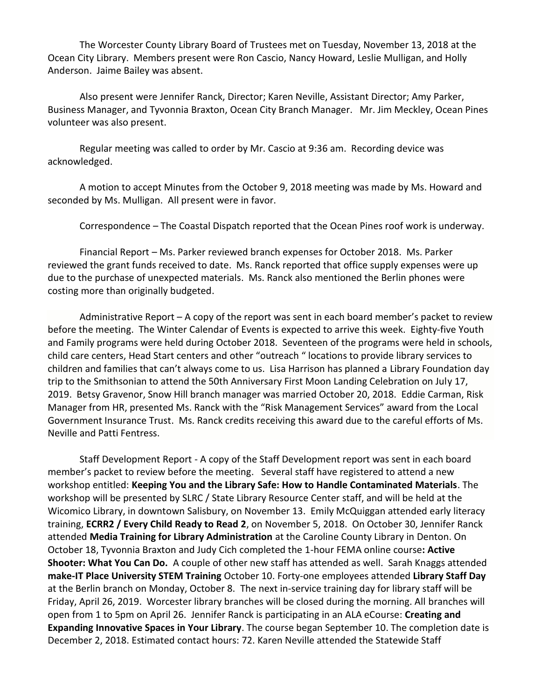The Worcester County Library Board of Trustees met on Tuesday, November 13, 2018 at the Ocean City Library. Members present were Ron Cascio, Nancy Howard, Leslie Mulligan, and Holly Anderson. Jaime Bailey was absent.

Also present were Jennifer Ranck, Director; Karen Neville, Assistant Director; Amy Parker, Business Manager, and Tyvonnia Braxton, Ocean City Branch Manager. Mr. Jim Meckley, Ocean Pines volunteer was also present.

Regular meeting was called to order by Mr. Cascio at 9:36 am. Recording device was acknowledged.

A motion to accept Minutes from the October 9, 2018 meeting was made by Ms. Howard and seconded by Ms. Mulligan. All present were in favor.

Correspondence – The Coastal Dispatch reported that the Ocean Pines roof work is underway.

Financial Report – Ms. Parker reviewed branch expenses for October 2018. Ms. Parker reviewed the grant funds received to date. Ms. Ranck reported that office supply expenses were up due to the purchase of unexpected materials. Ms. Ranck also mentioned the Berlin phones were costing more than originally budgeted.

Administrative Report – A copy of the report was sent in each board member's packet to review before the meeting. The Winter Calendar of Events is expected to arrive this week. Eighty-five Youth and Family programs were held during October 2018. Seventeen of the programs were held in schools, child care centers, Head Start centers and other "outreach " locations to provide library services to children and families that can't always come to us. Lisa Harrison has planned a Library Foundation day trip to the Smithsonian to attend the 50th Anniversary First Moon Landing Celebration on July 17, 2019. Betsy Gravenor, Snow Hill branch manager was married October 20, 2018. Eddie Carman, Risk Manager from HR, presented Ms. Ranck with the "Risk Management Services" award from the Local Government Insurance Trust. Ms. Ranck credits receiving this award due to the careful efforts of Ms. Neville and Patti Fentress.

Staff Development Report - A copy of the Staff Development report was sent in each board member's packet to review before the meeting. Several staff have registered to attend a new workshop entitled: **Keeping You and the Library Safe: How to Handle Contaminated Materials**. The workshop will be presented by SLRC / State Library Resource Center staff, and will be held at the Wicomico Library, in downtown Salisbury, on November 13. Emily McQuiggan attended early literacy training, **ECRR2 / Every Child Ready to Read 2**, on November 5, 2018. On October 30, Jennifer Ranck attended **Media Training for Library Administration** at the Caroline County Library in Denton. On October 18, Tyvonnia Braxton and Judy Cich completed the 1-hour FEMA online course**: Active Shooter: What You Can Do.** A couple of other new staff has attended as well. Sarah Knaggs attended **make-IT Place University STEM Training** October 10. Forty-one employees attended **Library Staff Day** at the Berlin branch on Monday, October 8. The next in-service training day for library staff will be Friday, April 26, 2019. Worcester library branches will be closed during the morning. All branches will open from 1 to 5pm on April 26. Jennifer Ranck is participating in an ALA eCourse: **Creating and Expanding Innovative Spaces in Your Library**. The course began September 10. The completion date is December 2, 2018. Estimated contact hours: 72. Karen Neville attended the Statewide Staff